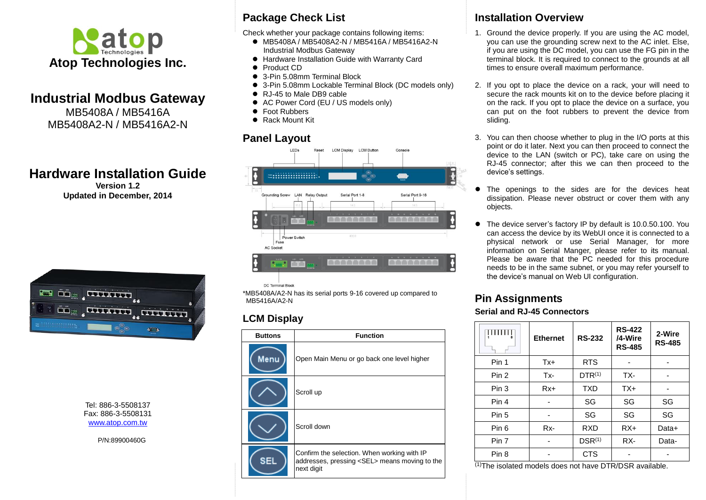

## **Industrial Modbus Gateway**

MB5408A / MB5416A MB5408A2-N / MB5416A2-N

# **Hardware Installation Guide**

**Version 1.2 Updated in December, 2014**



Tel: 886-3-5508137 Fax: 886-3-5508131 [www.atop.com.tw](http://www.atop.com.tw/)

P/N:89900460G

### **Package Check List**

Check whether your package contains following items:

- MB5408A / MB5408A2-N / MB5416A / MB5416A2-N Industrial Modbus Gateway
- Hardware Installation Guide with Warranty Card
- **•** Product CD
- 3-Pin 5.08mm Terminal Block
- 3-Pin 5.08mm Lockable Terminal Block (DC models only)
- RJ-45 to Male DB9 cable
- AC Power Cord (EU / US models only)
- Foot Rubbers
- Rack Mount Kit

### **Panel Layout**



DC Terminal Block

\*MB5408A/A2-N has its serial ports 9-16 covered up compared to MB5416A/A2-N

### **LCM Display**

| <b>Buttons</b> | <b>Function</b>                                                                                                   |
|----------------|-------------------------------------------------------------------------------------------------------------------|
| Menu           | Open Main Menu or go back one level higher                                                                        |
|                | Scroll up                                                                                                         |
|                | Scroll down                                                                                                       |
| SEL            | Confirm the selection. When working with IP<br>addresses, pressing <sel> means moving to the<br/>next digit</sel> |

### **Installation Overview**

- 1. Ground the device properly. If you are using the AC model, you can use the grounding screw next to the AC inlet. Else, if you are using the DC model, you can use the FG pin in the terminal block. It is required to connect to the grounds at all times to ensure overall maximum performance.
- 2. If you opt to place the device on a rack, your will need to secure the rack mounts kit on to the device before placing it on the rack. If you opt to place the device on a surface, you can put on the foot rubbers to prevent the device from sliding.
- 3. You can then choose whether to plug in the I/O ports at this point or do it later. Next you can then proceed to connect the device to the LAN (switch or PC), take care on using the RJ-45 connector; after this we can then proceed to the device's settings.
- The openings to the sides are for the devices heat dissipation. Please never obstruct or cover them with any objects.
- The device server's factory IP by default is 10.0.50.100. You can access the device by its WebUI once it is connected to a physical network or use Serial Manager, for more information on Serial Manger, please refer to its manual. Please be aware that the PC needed for this procedure needs to be in the same subnet, or you may refer yourself to the device's manual on Web UI configuration.

# **Pin Assignments**

#### **Serial and RJ-45 Connectors**

|                  | <b>Ethernet</b> | <b>RS-232</b> | <b>RS-422</b><br>/4-Wire<br><b>RS-485</b> | 2-Wire<br><b>RS-485</b> |
|------------------|-----------------|---------------|-------------------------------------------|-------------------------|
| Pin 1            | Tx+             | <b>RTS</b>    |                                           |                         |
| Pin 2            | Tx-             | $DTR^{(1)}$   | TX-                                       |                         |
| Pin 3            | Rx+             | <b>TXD</b>    | $TX+$                                     |                         |
| Pin 4            |                 | SG            | SG                                        | SG                      |
| Pin 5            |                 | SG            | SG                                        | SG                      |
| Pin 6            | $Rx-$           | RXD           | $RX+$                                     | Data+                   |
| Pin 7            |                 | $DSR^{(1)}$   | RX-                                       | Data-                   |
| Pin <sub>8</sub> |                 | <b>CTS</b>    |                                           |                         |

(1)The isolated models does not have DTR/DSR available.